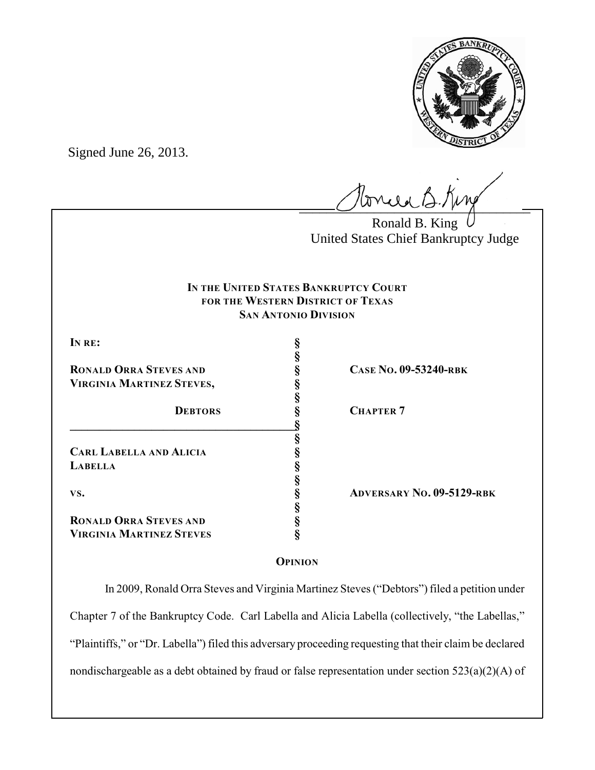

Signed June 26, 2013.

 $l$ onie B.Kin

Ronald B. King United States Chief Bankruptcy Judge

# **IN THE UNITED STATES BANKRUPTCY COURT FOR THE WESTERN DISTRICT OF TEXAS SAN ANTONIO DIVISION**

**§**

**§**

**§**

**§**

**§**

**IN RE: §**

**RONALD ORRA STEVES AND**<br> **S**<br> **S**<br> **S**<br> **S VIRGINIA MARTINEZ STEVES, §**

**\_\_\_\_\_\_\_\_\_\_\_\_\_\_\_\_\_\_\_\_\_\_\_\_\_\_\_\_\_\_\_\_\_\_\_\_\_\_\_§ CARL LABELLA AND ALICIA § LABELLA §**

**RONALD ORRA STEVES AND § VIRGINIA MARTINEZ STEVES §**

**DEBTORS § CHAPTER 7**

**VS. § ADVERSARY NO. 09-5129-RBK**

# **OPINION**

In 2009, Ronald Orra Steves and Virginia Martinez Steves ("Debtors") filed a petition under Chapter 7 of the Bankruptcy Code. Carl Labella and Alicia Labella (collectively, "the Labellas," "Plaintiffs," or "Dr. Labella") filed this adversary proceeding requesting that their claim be declared nondischargeable as a debt obtained by fraud or false representation under section 523(a)(2)(A) of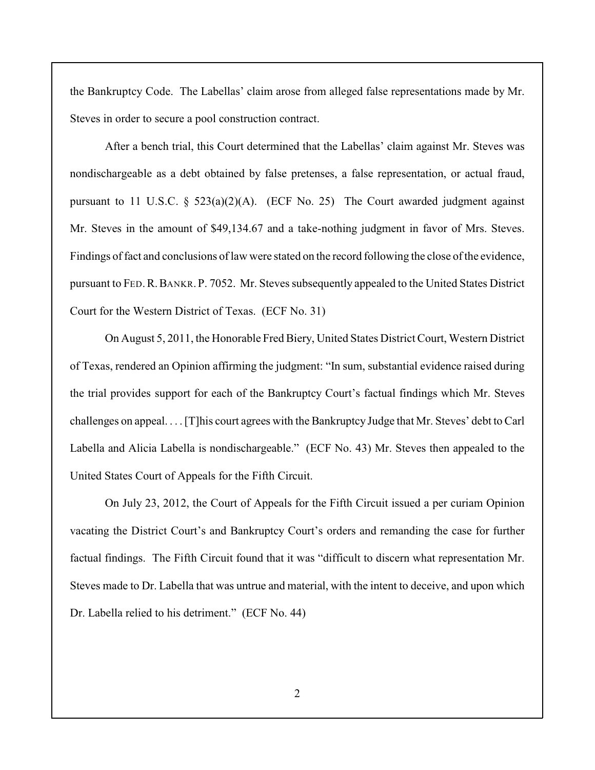the Bankruptcy Code. The Labellas' claim arose from alleged false representations made by Mr. Steves in order to secure a pool construction contract.

After a bench trial, this Court determined that the Labellas' claim against Mr. Steves was nondischargeable as a debt obtained by false pretenses, a false representation, or actual fraud, pursuant to 11 U.S.C. § 523(a)(2)(A). (ECF No. 25) The Court awarded judgment against Mr. Steves in the amount of \$49,134.67 and a take-nothing judgment in favor of Mrs. Steves. Findings of fact and conclusions of law were stated on the record following the close of the evidence, pursuant to FED.R.BANKR. P. 7052. Mr. Steves subsequently appealed to the United States District Court for the Western District of Texas. (ECF No. 31)

On August 5, 2011, the Honorable Fred Biery, United States District Court, Western District of Texas, rendered an Opinion affirming the judgment: "In sum, substantial evidence raised during the trial provides support for each of the Bankruptcy Court's factual findings which Mr. Steves challenges on appeal. . . . [T]his court agrees with the Bankruptcy Judge that Mr. Steves' debt to Carl Labella and Alicia Labella is nondischargeable." (ECF No. 43) Mr. Steves then appealed to the United States Court of Appeals for the Fifth Circuit.

On July 23, 2012, the Court of Appeals for the Fifth Circuit issued a per curiam Opinion vacating the District Court's and Bankruptcy Court's orders and remanding the case for further factual findings. The Fifth Circuit found that it was "difficult to discern what representation Mr. Steves made to Dr. Labella that was untrue and material, with the intent to deceive, and upon which Dr. Labella relied to his detriment." (ECF No. 44)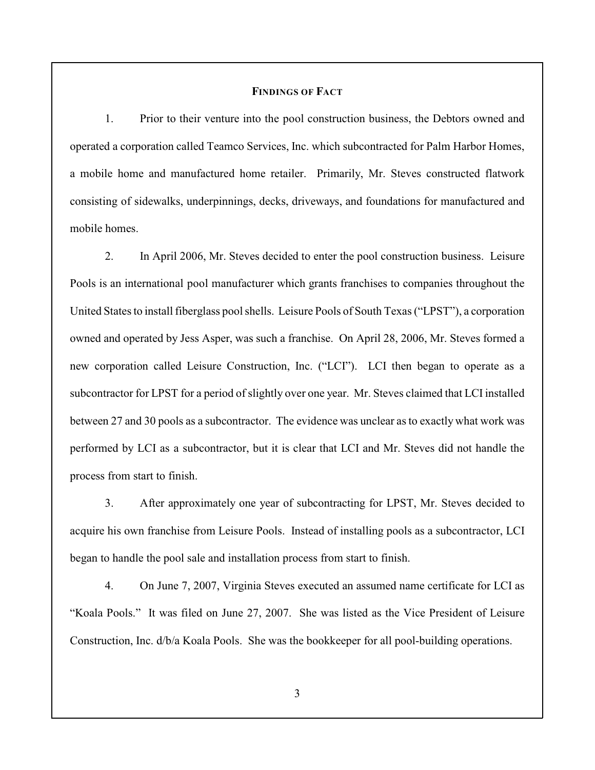### **FINDINGS OF FACT**

1. Prior to their venture into the pool construction business, the Debtors owned and operated a corporation called Teamco Services, Inc. which subcontracted for Palm Harbor Homes, a mobile home and manufactured home retailer. Primarily, Mr. Steves constructed flatwork consisting of sidewalks, underpinnings, decks, driveways, and foundations for manufactured and mobile homes.

2. In April 2006, Mr. Steves decided to enter the pool construction business. Leisure Pools is an international pool manufacturer which grants franchises to companies throughout the United States to install fiberglass pool shells. Leisure Pools of South Texas ("LPST"), a corporation owned and operated by Jess Asper, was such a franchise. On April 28, 2006, Mr. Steves formed a new corporation called Leisure Construction, Inc. ("LCI"). LCI then began to operate as a subcontractor for LPST for a period of slightly over one year. Mr. Steves claimed that LCI installed between 27 and 30 pools as a subcontractor. The evidence was unclear as to exactly what work was performed by LCI as a subcontractor, but it is clear that LCI and Mr. Steves did not handle the process from start to finish.

3. After approximately one year of subcontracting for LPST, Mr. Steves decided to acquire his own franchise from Leisure Pools. Instead of installing pools as a subcontractor, LCI began to handle the pool sale and installation process from start to finish.

4. On June 7, 2007, Virginia Steves executed an assumed name certificate for LCI as "Koala Pools." It was filed on June 27, 2007. She was listed as the Vice President of Leisure Construction, Inc. d/b/a Koala Pools. She was the bookkeeper for all pool-building operations.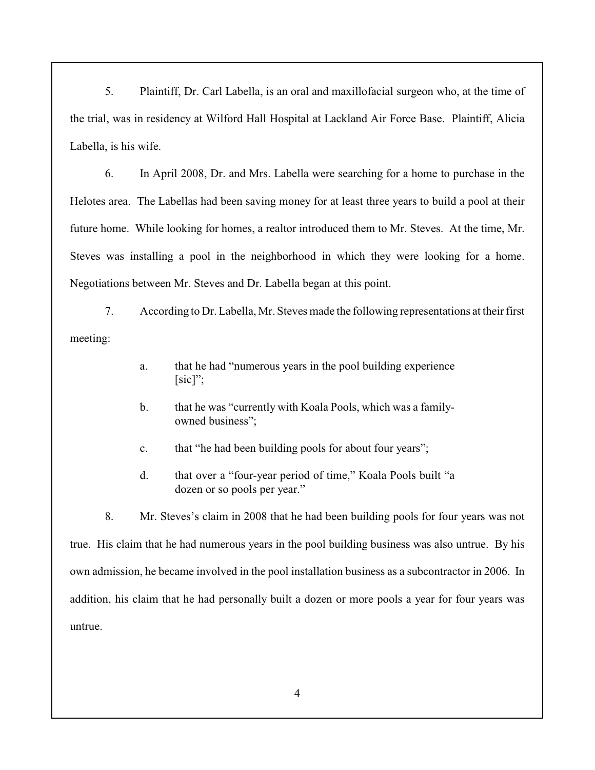5. Plaintiff, Dr. Carl Labella, is an oral and maxillofacial surgeon who, at the time of the trial, was in residency at Wilford Hall Hospital at Lackland Air Force Base. Plaintiff, Alicia Labella, is his wife.

6. In April 2008, Dr. and Mrs. Labella were searching for a home to purchase in the Helotes area. The Labellas had been saving money for at least three years to build a pool at their future home. While looking for homes, a realtor introduced them to Mr. Steves. At the time, Mr. Steves was installing a pool in the neighborhood in which they were looking for a home. Negotiations between Mr. Steves and Dr. Labella began at this point.

7. According to Dr. Labella, Mr. Steves made the following representations at their first meeting:

- a. that he had "numerous years in the pool building experience [sic]";
- b. that he was "currently with Koala Pools, which was a familyowned business";
- c. that "he had been building pools for about four years";
- d. that over a "four-year period of time," Koala Pools built "a dozen or so pools per year."

8. Mr. Steves's claim in 2008 that he had been building pools for four years was not true. His claim that he had numerous years in the pool building business was also untrue. By his own admission, he became involved in the pool installation business as a subcontractor in 2006. In addition, his claim that he had personally built a dozen or more pools a year for four years was untrue.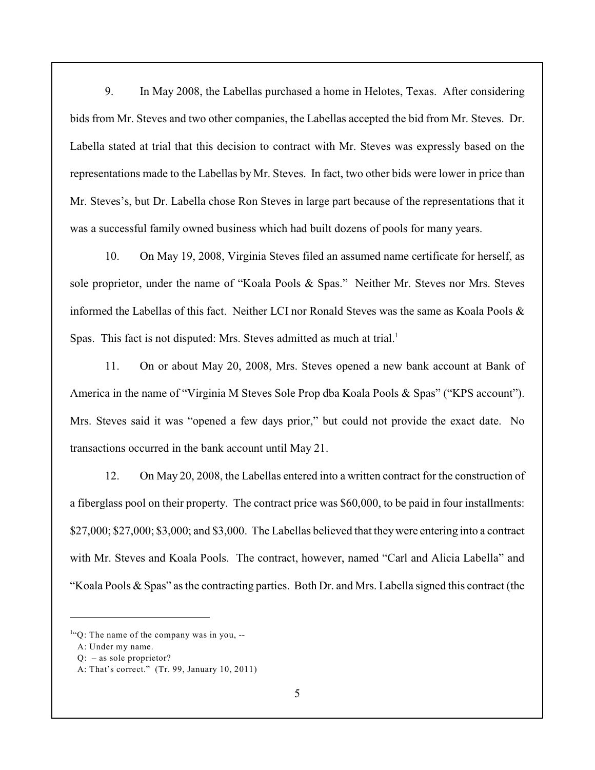9. In May 2008, the Labellas purchased a home in Helotes, Texas. After considering bids from Mr. Steves and two other companies, the Labellas accepted the bid from Mr. Steves. Dr. Labella stated at trial that this decision to contract with Mr. Steves was expressly based on the representations made to the Labellas by Mr. Steves. In fact, two other bids were lower in price than Mr. Steves's, but Dr. Labella chose Ron Steves in large part because of the representations that it was a successful family owned business which had built dozens of pools for many years.

10. On May 19, 2008, Virginia Steves filed an assumed name certificate for herself, as sole proprietor, under the name of "Koala Pools & Spas." Neither Mr. Steves nor Mrs. Steves informed the Labellas of this fact. Neither LCI nor Ronald Steves was the same as Koala Pools & Spas. This fact is not disputed: Mrs. Steves admitted as much at trial.<sup>1</sup>

11. On or about May 20, 2008, Mrs. Steves opened a new bank account at Bank of America in the name of "Virginia M Steves Sole Prop dba Koala Pools & Spas" ("KPS account"). Mrs. Steves said it was "opened a few days prior," but could not provide the exact date. No transactions occurred in the bank account until May 21.

12. On May 20, 2008, the Labellas entered into a written contract for the construction of a fiberglass pool on their property. The contract price was \$60,000, to be paid in four installments: \$27,000; \$27,000; \$3,000; and \$3,000. The Labellas believed that they were entering into a contract with Mr. Steves and Koala Pools. The contract, however, named "Carl and Alicia Labella" and "Koala Pools & Spas" as the contracting parties. Both Dr. and Mrs. Labella signed this contract (the

 ${}^{1}$ "Q: The name of the company was in you, --

A: Under my name.

Q: – as sole proprietor?

A: That's correct." (Tr. 99, January 10, 2011)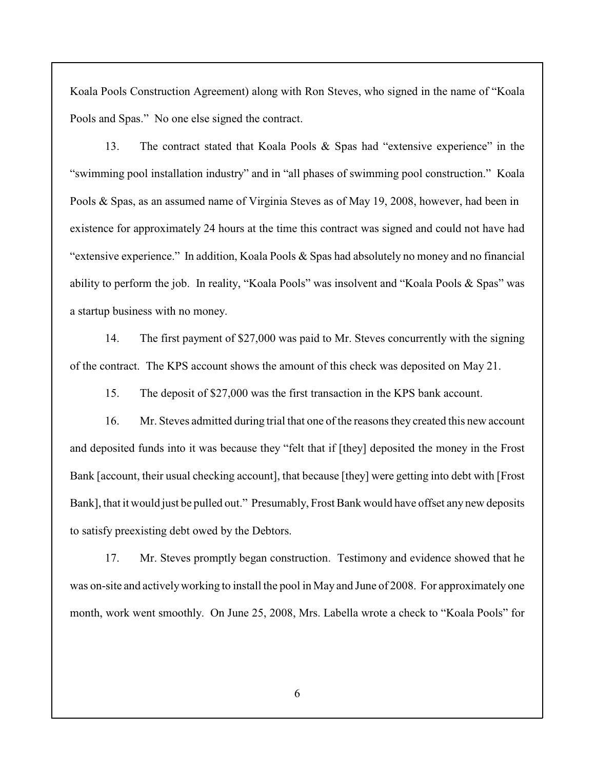Koala Pools Construction Agreement) along with Ron Steves, who signed in the name of "Koala Pools and Spas." No one else signed the contract.

13. The contract stated that Koala Pools & Spas had "extensive experience" in the "swimming pool installation industry" and in "all phases of swimming pool construction." Koala Pools & Spas, as an assumed name of Virginia Steves as of May 19, 2008, however, had been in existence for approximately 24 hours at the time this contract was signed and could not have had "extensive experience." In addition, Koala Pools & Spas had absolutely no money and no financial ability to perform the job. In reality, "Koala Pools" was insolvent and "Koala Pools & Spas" was a startup business with no money.

14. The first payment of \$27,000 was paid to Mr. Steves concurrently with the signing of the contract. The KPS account shows the amount of this check was deposited on May 21.

15. The deposit of \$27,000 was the first transaction in the KPS bank account.

16. Mr. Steves admitted during trial that one of the reasons they created this new account and deposited funds into it was because they "felt that if [they] deposited the money in the Frost Bank [account, their usual checking account], that because [they] were getting into debt with [Frost Bank], that it would just be pulled out." Presumably, Frost Bank would have offset any new deposits to satisfy preexisting debt owed by the Debtors.

17. Mr. Steves promptly began construction. Testimony and evidence showed that he was on-site and activelyworking to install the pool in May and June of 2008. For approximately one month, work went smoothly. On June 25, 2008, Mrs. Labella wrote a check to "Koala Pools" for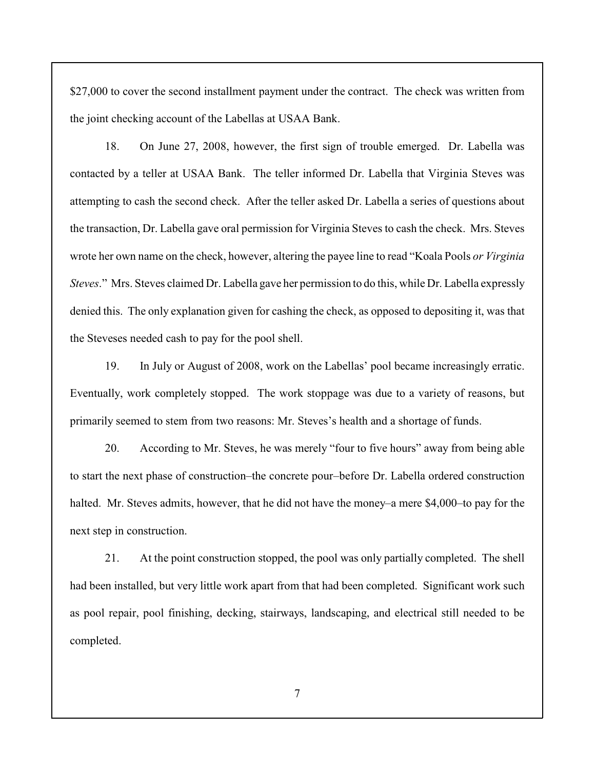\$27,000 to cover the second installment payment under the contract. The check was written from the joint checking account of the Labellas at USAA Bank.

18. On June 27, 2008, however, the first sign of trouble emerged. Dr. Labella was contacted by a teller at USAA Bank. The teller informed Dr. Labella that Virginia Steves was attempting to cash the second check. After the teller asked Dr. Labella a series of questions about the transaction, Dr. Labella gave oral permission for Virginia Steves to cash the check. Mrs. Steves wrote her own name on the check, however, altering the payee line to read "Koala Pools *or Virginia Steves*." Mrs. Steves claimed Dr. Labella gave her permission to do this, while Dr. Labella expressly denied this. The only explanation given for cashing the check, as opposed to depositing it, was that the Steveses needed cash to pay for the pool shell.

19. In July or August of 2008, work on the Labellas' pool became increasingly erratic. Eventually, work completely stopped. The work stoppage was due to a variety of reasons, but primarily seemed to stem from two reasons: Mr. Steves's health and a shortage of funds.

20. According to Mr. Steves, he was merely "four to five hours" away from being able to start the next phase of construction–the concrete pour–before Dr. Labella ordered construction halted. Mr. Steves admits, however, that he did not have the money–a mere \$4,000–to pay for the next step in construction.

21. At the point construction stopped, the pool was only partially completed. The shell had been installed, but very little work apart from that had been completed. Significant work such as pool repair, pool finishing, decking, stairways, landscaping, and electrical still needed to be completed.

7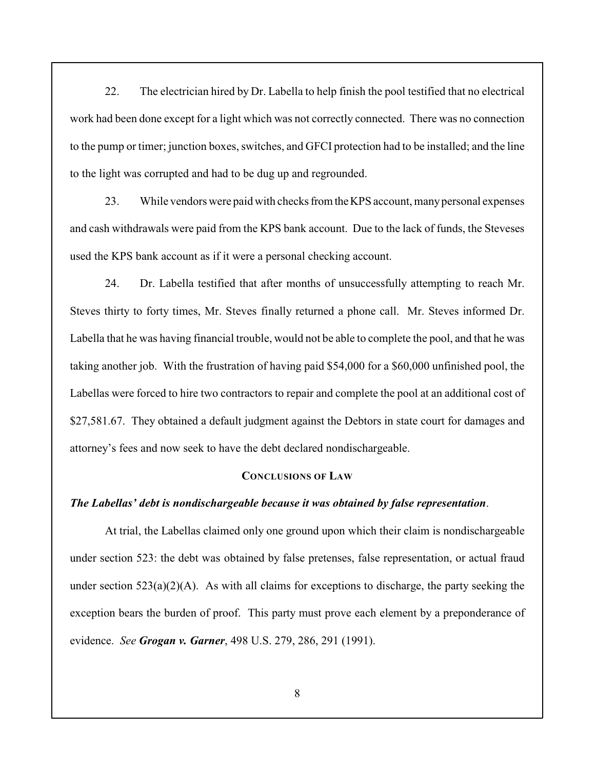22. The electrician hired by Dr. Labella to help finish the pool testified that no electrical work had been done except for a light which was not correctly connected. There was no connection to the pump or timer; junction boxes, switches, and GFCI protection had to be installed; and the line to the light was corrupted and had to be dug up and regrounded.

23. While vendors were paid with checks from the KPS account, many personal expenses and cash withdrawals were paid from the KPS bank account. Due to the lack of funds, the Steveses used the KPS bank account as if it were a personal checking account.

24. Dr. Labella testified that after months of unsuccessfully attempting to reach Mr. Steves thirty to forty times, Mr. Steves finally returned a phone call. Mr. Steves informed Dr. Labella that he was having financial trouble, would not be able to complete the pool, and that he was taking another job. With the frustration of having paid \$54,000 for a \$60,000 unfinished pool, the Labellas were forced to hire two contractors to repair and complete the pool at an additional cost of \$27,581.67. They obtained a default judgment against the Debtors in state court for damages and attorney's fees and now seek to have the debt declared nondischargeable.

## **CONCLUSIONS OF LAW**

#### *The Labellas' debt is nondischargeable because it was obtained by false representation*.

At trial, the Labellas claimed only one ground upon which their claim is nondischargeable under section 523: the debt was obtained by false pretenses, false representation, or actual fraud under section  $523(a)(2)(A)$ . As with all claims for exceptions to discharge, the party seeking the exception bears the burden of proof. This party must prove each element by a preponderance of evidence. *See Grogan v. Garner*, 498 U.S. 279, 286, 291 (1991).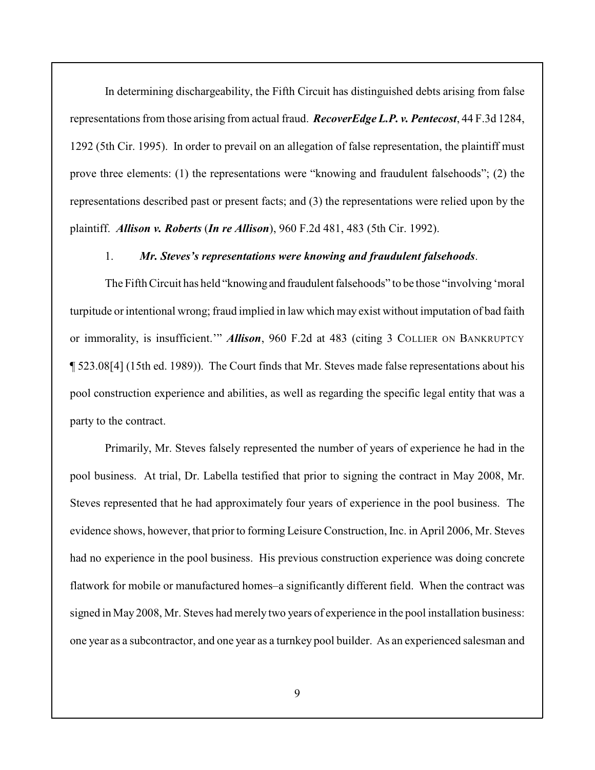In determining dischargeability, the Fifth Circuit has distinguished debts arising from false representations from those arising from actual fraud. *RecoverEdge L.P. v. Pentecost*, 44 F.3d 1284, 1292 (5th Cir. 1995). In order to prevail on an allegation of false representation, the plaintiff must prove three elements: (1) the representations were "knowing and fraudulent falsehoods"; (2) the representations described past or present facts; and (3) the representations were relied upon by the plaintiff. *Allison v. Roberts* (*In re Allison*), 960 F.2d 481, 483 (5th Cir. 1992).

#### 1. *Mr. Steves's representations were knowing and fraudulent falsehoods*.

The Fifth Circuit has held "knowing and fraudulent falsehoods" to be those "involving 'moral turpitude or intentional wrong; fraud implied in law which may exist without imputation of bad faith or immorality, is insufficient.'" *Allison*, 960 F.2d at 483 (citing 3 COLLIER ON BANKRUPTCY ¶ 523.08[4] (15th ed. 1989)). The Court finds that Mr. Steves made false representations about his pool construction experience and abilities, as well as regarding the specific legal entity that was a party to the contract.

Primarily, Mr. Steves falsely represented the number of years of experience he had in the pool business. At trial, Dr. Labella testified that prior to signing the contract in May 2008, Mr. Steves represented that he had approximately four years of experience in the pool business. The evidence shows, however, that prior to forming Leisure Construction, Inc. in April 2006, Mr. Steves had no experience in the pool business. His previous construction experience was doing concrete flatwork for mobile or manufactured homes–a significantly different field. When the contract was signed in May 2008, Mr. Steves had merely two years of experience in the pool installation business: one year as a subcontractor, and one year as a turnkey pool builder. As an experienced salesman and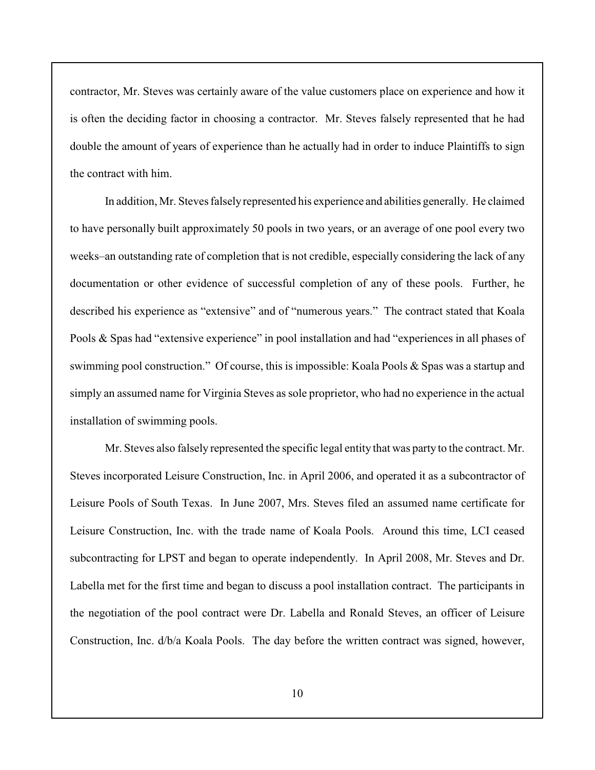contractor, Mr. Steves was certainly aware of the value customers place on experience and how it is often the deciding factor in choosing a contractor. Mr. Steves falsely represented that he had double the amount of years of experience than he actually had in order to induce Plaintiffs to sign the contract with him.

In addition, Mr. Steves falsely represented his experience and abilities generally. He claimed to have personally built approximately 50 pools in two years, or an average of one pool every two weeks–an outstanding rate of completion that is not credible, especially considering the lack of any documentation or other evidence of successful completion of any of these pools. Further, he described his experience as "extensive" and of "numerous years." The contract stated that Koala Pools & Spas had "extensive experience" in pool installation and had "experiences in all phases of swimming pool construction." Of course, this is impossible: Koala Pools & Spas was a startup and simply an assumed name for Virginia Steves as sole proprietor, who had no experience in the actual installation of swimming pools.

Mr. Steves also falsely represented the specific legal entity that was party to the contract. Mr. Steves incorporated Leisure Construction, Inc. in April 2006, and operated it as a subcontractor of Leisure Pools of South Texas. In June 2007, Mrs. Steves filed an assumed name certificate for Leisure Construction, Inc. with the trade name of Koala Pools. Around this time, LCI ceased subcontracting for LPST and began to operate independently. In April 2008, Mr. Steves and Dr. Labella met for the first time and began to discuss a pool installation contract. The participants in the negotiation of the pool contract were Dr. Labella and Ronald Steves, an officer of Leisure Construction, Inc. d/b/a Koala Pools. The day before the written contract was signed, however,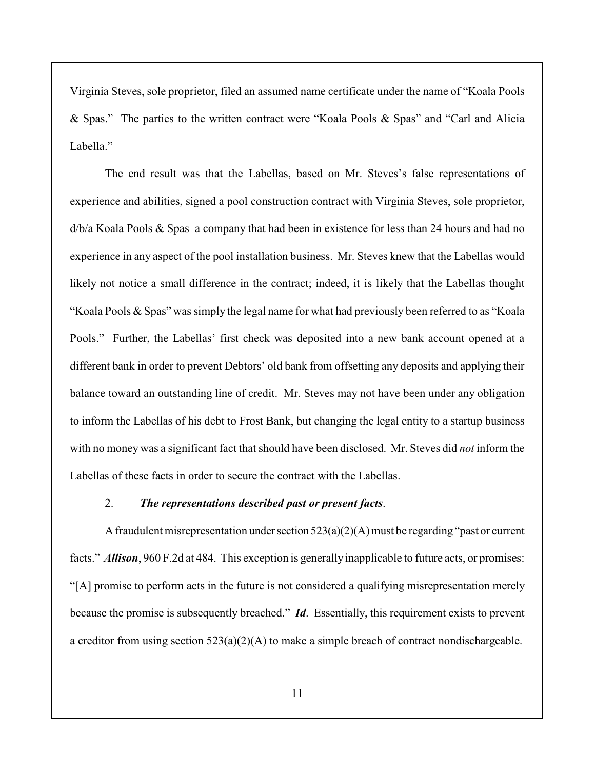Virginia Steves, sole proprietor, filed an assumed name certificate under the name of "Koala Pools & Spas." The parties to the written contract were "Koala Pools & Spas" and "Carl and Alicia Labella."

The end result was that the Labellas, based on Mr. Steves's false representations of experience and abilities, signed a pool construction contract with Virginia Steves, sole proprietor, d/b/a Koala Pools & Spas–a company that had been in existence for less than 24 hours and had no experience in any aspect of the pool installation business. Mr. Steves knew that the Labellas would likely not notice a small difference in the contract; indeed, it is likely that the Labellas thought "Koala Pools  $\&$  Spas" was simply the legal name for what had previously been referred to as "Koala" Pools." Further, the Labellas' first check was deposited into a new bank account opened at a different bank in order to prevent Debtors' old bank from offsetting any deposits and applying their balance toward an outstanding line of credit. Mr. Steves may not have been under any obligation to inform the Labellas of his debt to Frost Bank, but changing the legal entity to a startup business with no money was a significant fact that should have been disclosed. Mr. Steves did *not* inform the Labellas of these facts in order to secure the contract with the Labellas.

### 2. *The representations described past or present facts*.

A fraudulent misrepresentation under section  $523(a)(2)(A)$  must be regarding "past or current facts." *Allison*, 960 F.2d at 484. This exception is generallyinapplicable to future acts, or promises: "[A] promise to perform acts in the future is not considered a qualifying misrepresentation merely because the promise is subsequently breached." *Id*. Essentially, this requirement exists to prevent a creditor from using section 523(a)(2)(A) to make a simple breach of contract nondischargeable.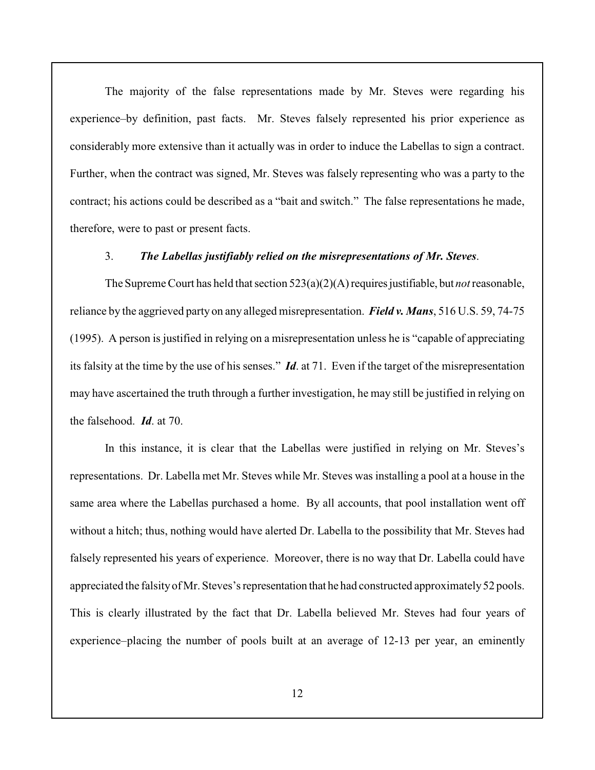The majority of the false representations made by Mr. Steves were regarding his experience–by definition, past facts. Mr. Steves falsely represented his prior experience as considerably more extensive than it actually was in order to induce the Labellas to sign a contract. Further, when the contract was signed, Mr. Steves was falsely representing who was a party to the contract; his actions could be described as a "bait and switch." The false representations he made, therefore, were to past or present facts.

#### 3. *The Labellas justifiably relied on the misrepresentations of Mr. Steves*.

The Supreme Court has held that section 523(a)(2)(A) requires justifiable, but *not* reasonable, reliance by the aggrieved party on any alleged misrepresentation. *Field v. Mans*, 516 U.S. 59, 74-75 (1995). A person is justified in relying on a misrepresentation unless he is "capable of appreciating its falsity at the time by the use of his senses." *Id*. at 71. Even if the target of the misrepresentation may have ascertained the truth through a further investigation, he may still be justified in relying on the falsehood. *Id*. at 70.

In this instance, it is clear that the Labellas were justified in relying on Mr. Steves's representations. Dr. Labella met Mr. Steves while Mr. Steves was installing a pool at a house in the same area where the Labellas purchased a home. By all accounts, that pool installation went off without a hitch; thus, nothing would have alerted Dr. Labella to the possibility that Mr. Steves had falsely represented his years of experience. Moreover, there is no way that Dr. Labella could have appreciated the falsity of Mr. Steves's representation that he had constructed approximately 52 pools. This is clearly illustrated by the fact that Dr. Labella believed Mr. Steves had four years of experience–placing the number of pools built at an average of 12-13 per year, an eminently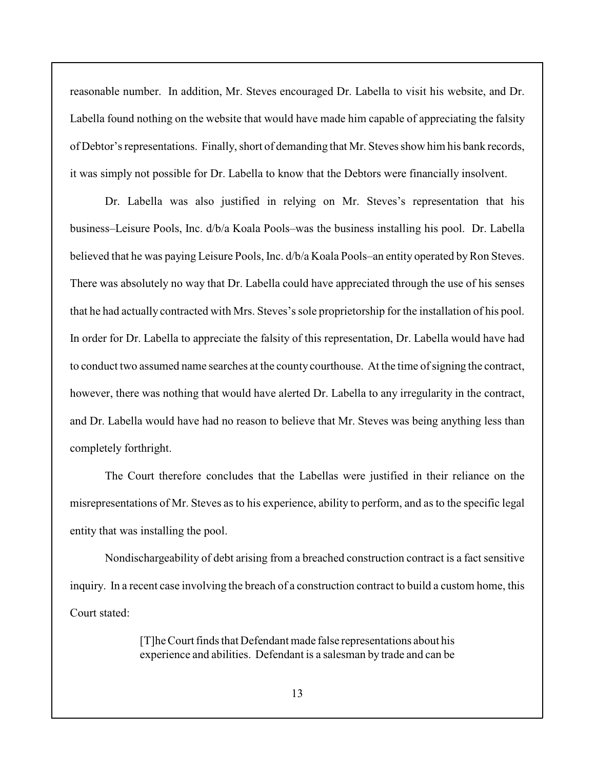reasonable number. In addition, Mr. Steves encouraged Dr. Labella to visit his website, and Dr. Labella found nothing on the website that would have made him capable of appreciating the falsity of Debtor's representations. Finally, short of demanding that Mr. Steves show him his bank records, it was simply not possible for Dr. Labella to know that the Debtors were financially insolvent.

Dr. Labella was also justified in relying on Mr. Steves's representation that his business–Leisure Pools, Inc. d/b/a Koala Pools–was the business installing his pool. Dr. Labella believed that he was paying Leisure Pools, Inc. d/b/a Koala Pools–an entity operated by Ron Steves. There was absolutely no way that Dr. Labella could have appreciated through the use of his senses that he had actually contracted with Mrs. Steves's sole proprietorship for the installation of his pool. In order for Dr. Labella to appreciate the falsity of this representation, Dr. Labella would have had to conduct two assumed name searches at the county courthouse. At the time of signing the contract, however, there was nothing that would have alerted Dr. Labella to any irregularity in the contract, and Dr. Labella would have had no reason to believe that Mr. Steves was being anything less than completely forthright.

The Court therefore concludes that the Labellas were justified in their reliance on the misrepresentations of Mr. Steves as to his experience, ability to perform, and as to the specific legal entity that was installing the pool.

Nondischargeability of debt arising from a breached construction contract is a fact sensitive inquiry. In a recent case involving the breach of a construction contract to build a custom home, this Court stated:

> [T]he Court finds that Defendant made false representations about his experience and abilities. Defendant is a salesman by trade and can be